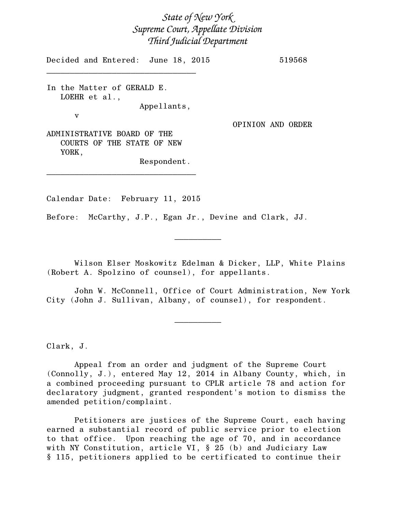## *State of New York Supreme Court, Appellate Division Third Judicial Department*

Decided and Entered: June 18, 2015 519568

In the Matter of GERALD E. LOEHR et al., Appellants,

\_\_\_\_\_\_\_\_\_\_\_\_\_\_\_\_\_\_\_\_\_\_\_\_\_\_\_\_\_\_\_\_

v

OPINION AND ORDER

ADMINISTRATIVE BOARD OF THE COURTS OF THE STATE OF NEW YORK,

Respondent.

Calendar Date: February 11, 2015

\_\_\_\_\_\_\_\_\_\_\_\_\_\_\_\_\_\_\_\_\_\_\_\_\_\_\_\_\_\_\_\_

Before: McCarthy, J.P., Egan Jr., Devine and Clark, JJ.

Wilson Elser Moskowitz Edelman & Dicker, LLP, White Plains (Robert A. Spolzino of counsel), for appellants.

 $\frac{1}{2}$ 

John W. McConnell, Office of Court Administration, New York City (John J. Sullivan, Albany, of counsel), for respondent.

 $\overline{\phantom{a}}$   $\overline{\phantom{a}}$   $\overline{\phantom{a}}$   $\overline{\phantom{a}}$   $\overline{\phantom{a}}$   $\overline{\phantom{a}}$   $\overline{\phantom{a}}$   $\overline{\phantom{a}}$   $\overline{\phantom{a}}$   $\overline{\phantom{a}}$   $\overline{\phantom{a}}$   $\overline{\phantom{a}}$   $\overline{\phantom{a}}$   $\overline{\phantom{a}}$   $\overline{\phantom{a}}$   $\overline{\phantom{a}}$   $\overline{\phantom{a}}$   $\overline{\phantom{a}}$   $\overline{\$ 

Clark, J.

Appeal from an order and judgment of the Supreme Court (Connolly, J.), entered May 12, 2014 in Albany County, which, in a combined proceeding pursuant to CPLR article 78 and action for declaratory judgment, granted respondent's motion to dismiss the amended petition/complaint.

Petitioners are justices of the Supreme Court, each having earned a substantial record of public service prior to election to that office. Upon reaching the age of 70, and in accordance with NY Constitution, article VI, § 25 (b) and Judiciary Law § 115, petitioners applied to be certificated to continue their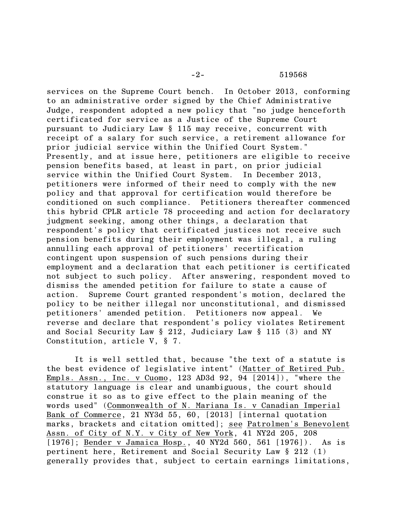services on the Supreme Court bench. In October 2013, conforming to an administrative order signed by the Chief Administrative Judge, respondent adopted a new policy that "no judge henceforth certificated for service as a Justice of the Supreme Court pursuant to Judiciary Law § 115 may receive, concurrent with receipt of a salary for such service, a retirement allowance for prior judicial service within the Unified Court System." Presently, and at issue here, petitioners are eligible to receive pension benefits based, at least in part, on prior judicial service within the Unified Court System. In December 2013, petitioners were informed of their need to comply with the new policy and that approval for certification would therefore be conditioned on such compliance. Petitioners thereafter commenced this hybrid CPLR article 78 proceeding and action for declaratory judgment seeking, among other things, a declaration that respondent's policy that certificated justices not receive such pension benefits during their employment was illegal, a ruling annulling each approval of petitioners' recertification contingent upon suspension of such pensions during their employment and a declaration that each petitioner is certificated not subject to such policy. After answering, respondent moved to dismiss the amended petition for failure to state a cause of action. Supreme Court granted respondent's motion, declared the policy to be neither illegal nor unconstitutional, and dismissed petitioners' amended petition. Petitioners now appeal. We reverse and declare that respondent's policy violates Retirement and Social Security Law § 212, Judiciary Law § 115 (3) and NY Constitution, article V, § 7.

It is well settled that, because "the text of a statute is the best evidence of legislative intent" (Matter of Retired Pub. Empls. Assn., Inc. v Cuomo, 123 AD3d 92, 94 [2014]), "where the statutory language is clear and unambiguous, the court should construe it so as to give effect to the plain meaning of the words used" (Commonwealth of N. Mariana Is. v Canadian Imperial Bank of Commerce, 21 NY3d 55, 60, [2013] [internal quotation marks, brackets and citation omitted]; see Patrolmen's Benevolent Assn. of City of N.Y. v City of New York, 41 NY2d 205, 208 [1976]; Bender v Jamaica Hosp., 40 NY2d 560, 561 [1976]). As is pertinent here, Retirement and Social Security Law § 212 (1) generally provides that, subject to certain earnings limitations,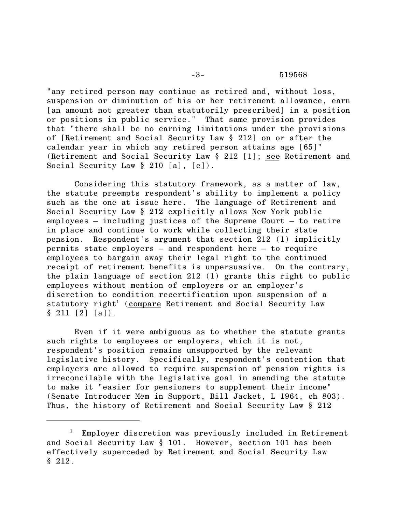## -3- 519568

"any retired person may continue as retired and, without loss, suspension or diminution of his or her retirement allowance, earn [an amount not greater than statutorily prescribed] in a position or positions in public service." That same provision provides that "there shall be no earning limitations under the provisions of [Retirement and Social Security Law § 212] on or after the calendar year in which any retired person attains age [65]" (Retirement and Social Security Law § 212 [1]; see Retirement and Social Security Law  $\S 210 [a], [e]$ .

Considering this statutory framework, as a matter of law, the statute preempts respondent's ability to implement a policy such as the one at issue here. The language of Retirement and Social Security Law § 212 explicitly allows New York public employees – including justices of the Supreme Court – to retire in place and continue to work while collecting their state pension. Respondent's argument that section 212 (1) implicitly permits state employers – and respondent here – to require employees to bargain away their legal right to the continued receipt of retirement benefits is unpersuasive. On the contrary, the plain language of section 212 (1) grants this right to public employees without mention of employers or an employer's discretion to condition recertification upon suspension of a statutory right<sup>1</sup> (compare Retirement and Social Security Law  $§ 211 [2] [a]$ .

Even if it were ambiguous as to whether the statute grants such rights to employees or employers, which it is not, respondent's position remains unsupported by the relevant<br>legislative history. Specifically, respondent's contention Specifically, respondent's contention that employers are allowed to require suspension of pension rights is irreconcilable with the legislative goal in amending the statute to make it "easier for pensioners to supplement their income" (Senate Introducer Mem in Support, Bill Jacket, L 1964, ch 803). Thus, the history of Retirement and Social Security Law § 212

<sup>&</sup>lt;sup>1</sup> Employer discretion was previously included in Retirement and Social Security Law § 101. However, section 101 has been effectively superceded by Retirement and Social Security Law § 212.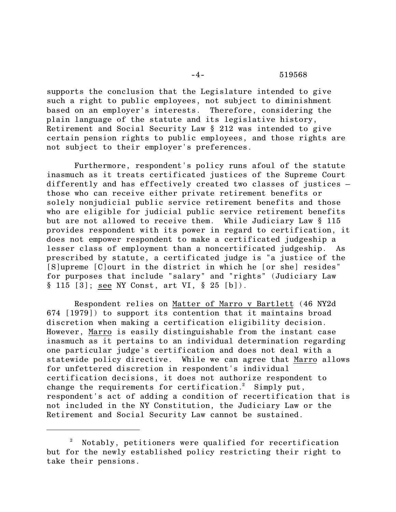supports the conclusion that the Legislature intended to give such a right to public employees, not subject to diminishment based on an employer's interests. Therefore, considering the plain language of the statute and its legislative history, Retirement and Social Security Law § 212 was intended to give certain pension rights to public employees, and those rights are not subject to their employer's preferences.

Furthermore, respondent's policy runs afoul of the statute inasmuch as it treats certificated justices of the Supreme Court differently and has effectively created two classes of justices – those who can receive either private retirement benefits or solely nonjudicial public service retirement benefits and those who are eligible for judicial public service retirement benefits but are not allowed to receive them. While Judiciary Law § 115 provides respondent with its power in regard to certification, it does not empower respondent to make a certificated judgeship a lesser class of employment than a noncertificated judgeship. As prescribed by statute, a certificated judge is "a justice of the [S]upreme [C]ourt in the district in which he [or she] resides" for purposes that include "salary" and "rights" (Judiciary Law § 115 [3]; see NY Const, art VI, § 25 [b]).

Respondent relies on Matter of Marro v Bartlett (46 NY2d 674 [1979]) to support its contention that it maintains broad discretion when making a certification eligibility decision. However, Marro is easily distinguishable from the instant case inasmuch as it pertains to an individual determination regarding one particular judge's certification and does not deal with a statewide policy directive. While we can agree that Marro allows for unfettered discretion in respondent's individual certification decisions, it does not authorize respondent to change the requirements for certification.<sup>2</sup> Simply put, respondent's act of adding a condition of recertification that is not included in the NY Constitution, the Judiciary Law or the Retirement and Social Security Law cannot be sustained.

 $2^2$  Notably, petitioners were qualified for recertification but for the newly established policy restricting their right to take their pensions.